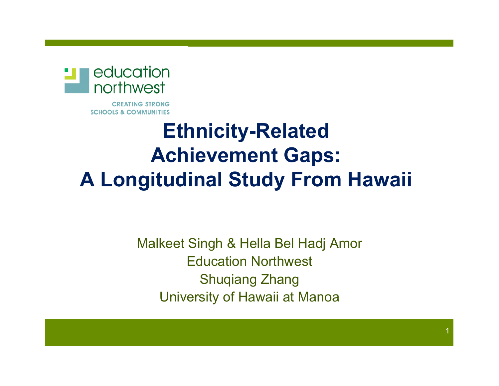

**CREATING STRONG SCHOOLS & COMMUNITIES** 

#### **Ethnicity-Related Achievement Gaps: A Longitudinal Study From Hawaii**

Malkeet Singh & Hella Bel Hadj Amor Education Northwest Shuqiang Zhang University of Hawaii at Manoa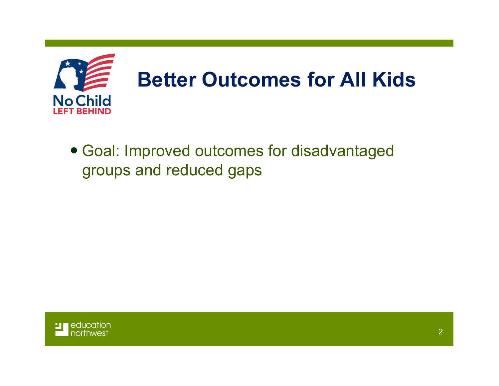

! Goal: Improved outcomes for disadvantaged groups and reduced gaps

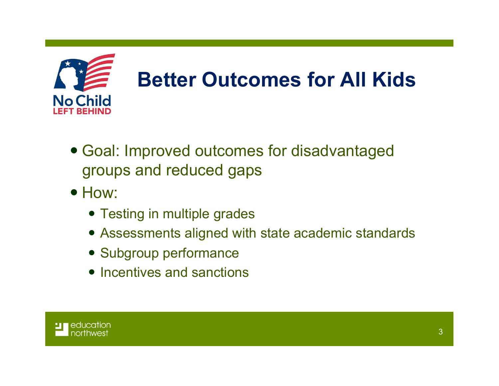

- Goal: Improved outcomes for disadvantaged groups and reduced gaps
- $\bullet$  How:
	- Testing in multiple grades
	- Assessments aligned with state academic standards
	- Subgroup performance
	- Incentives and sanctions

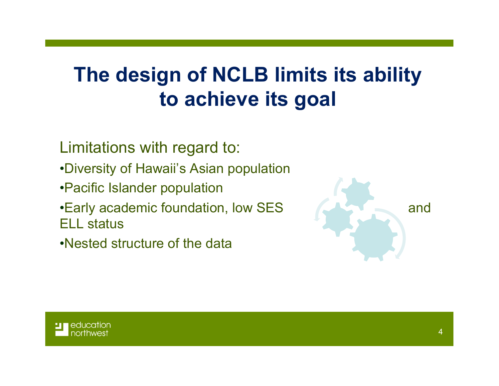#### **The design of NCLB limits its ability to achieve its goal**

Limitations with regard to:

- •Diversity of Hawaii's Asian population
- •Pacific Islander population
- •Early academic foundation, low SES and ELL status

•Nested structure of the data



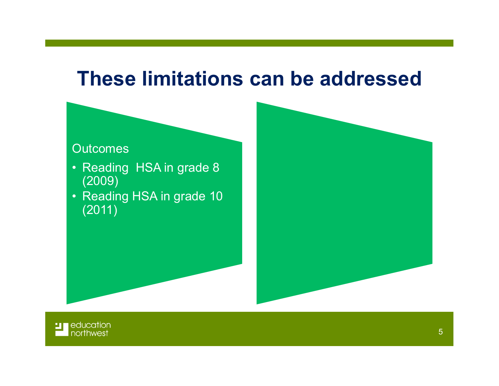#### **These limitations can be addressed**

#### **Outcomes**

- Reading HSA in grade 8 (2009)
- Reading HSA in grade 10 (2011)



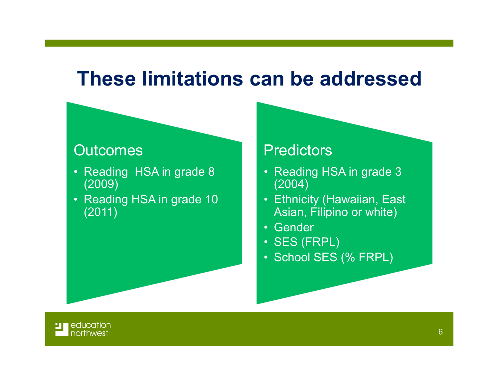#### **These limitations can be addressed**

#### **Outcomes**

- Reading HSA in grade 8 (2009)
- Reading HSA in grade 10 (2011)

#### **Predictors**

- Reading HSA in grade 3 (2004)
- Ethnicity (Hawaiian, East Asian, Filipino or white)
- Gender
- SES (FRPL)
- School SES (% FRPL)

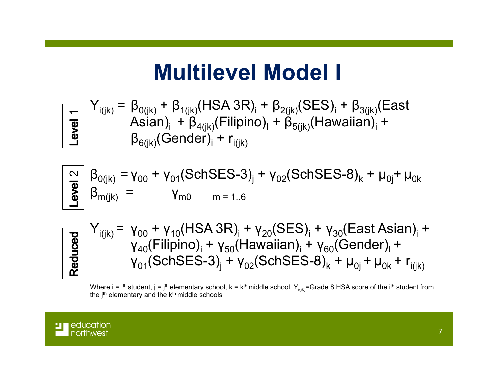#### **Multilevel Model I**

$$
\frac{1}{\sum_{i(jk)} f_{i(jk)}} = \beta_{0(jk)} + \beta_{1(jk)} (HSA 3R)_{i} + \beta_{2(jk)} (SES)_{i} + \beta_{3(jk)} (East
$$
  
\n
$$
\frac{1}{\sum_{i=1}^{N} f_{i(jk)}} = \beta_{0(jk)} (Gender)_{i} + \beta_{1(jk)} (Filipino)_{i} + \beta_{5(jk)} (Hawaian)_{i} + \beta_{6(jk)} (Gender)_{i} + r_{1(jk)}
$$

$$
\frac{N}{\frac{9}{5}} \begin{vmatrix} \beta_{0(jk)} = \gamma_{00} + \gamma_{01} (SchSES-3)_{j} + \gamma_{02} (SchSES-8)_{k} + \mu_{0j} + \mu_{0k} \\ \beta_{m(jk)} = \gamma_{m0} & m = 1.6 \end{vmatrix}
$$

$$
\begin{array}{c}\n\hline\n\text{g}}\n\begin{vmatrix}\nY_{i(jk)} = \gamma_{00} + \gamma_{10} (HSA 3R)_{i} + \gamma_{20} (SES)_{i} + \gamma_{30} (East Asian)_{i} + \gamma_{40} (Filipino)_{i} + \gamma_{50} (Hawaiian)_{i} + \gamma_{60} (Gender)_{i} + \gamma_{01} (SchSES-3)_{i} + \gamma_{02} (SchSES-8)_{k} + \mu_{0i} + \mu_{0k} + r_{i(jk)}\n\end{vmatrix}\n\end{array}
$$

Where i = i<sup>th</sup> student, j = j<sup>th</sup> elementary school, k = k<sup>th</sup> middle school, Y<sub>i(jk)</sub>=Grade 8 HSA score of the i<sup>th</sup> student from the j<sup>th</sup> elementary and the  $k<sup>th</sup>$  middle schools

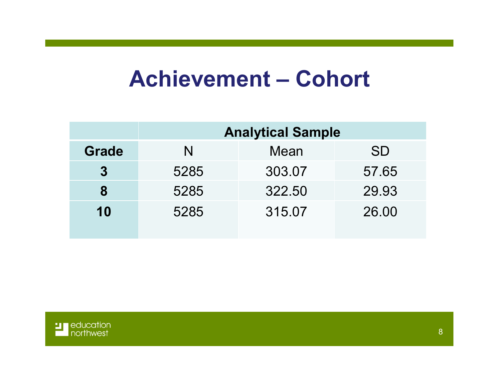#### **Achievement – Cohort**

|              | <b>Analytical Sample</b> |        |           |  |  |  |
|--------------|--------------------------|--------|-----------|--|--|--|
| <b>Grade</b> | N                        | Mean   | <b>SD</b> |  |  |  |
| $\bf{3}$     | 5285                     | 303.07 | 57.65     |  |  |  |
| 8            | 5285                     | 322.50 | 29.93     |  |  |  |
| 10           | 5285                     | 315.07 | 26.00     |  |  |  |

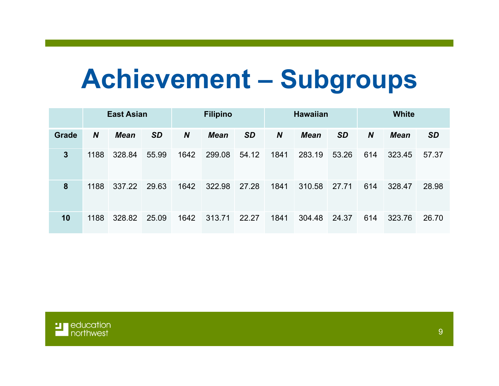# **Achievement – Subgroups**

|              | <b>East Asian</b> |             | <b>Filipino</b> |                  | <b>Hawaiian</b> |           |                  | <b>White</b> |           |                  |             |           |
|--------------|-------------------|-------------|-----------------|------------------|-----------------|-----------|------------------|--------------|-----------|------------------|-------------|-----------|
| <b>Grade</b> | $\boldsymbol{N}$  | <b>Mean</b> | <b>SD</b>       | $\boldsymbol{N}$ | <b>Mean</b>     | <b>SD</b> | $\boldsymbol{N}$ | <b>Mean</b>  | <b>SD</b> | $\boldsymbol{N}$ | <b>Mean</b> | <b>SD</b> |
| $\mathbf{3}$ | 1188              | 328.84      | 55.99           | 1642             | 299.08          | 54.12     | 1841             | 283.19       | 53.26     | 614              | 323.45      | 57.37     |
| 8            | 1188              | 337.22      | 29.63           | 1642             | 322.98          | 27.28     | 1841             | 310.58       | 27.71     | 614              | 328.47      | 28.98     |
| 10           | 1188              | 328.82      | 25.09           | 1642             | 313.71          | 22.27     | 1841             | 304.48       | 24.37     | 614              | 323.76      | 26.70     |

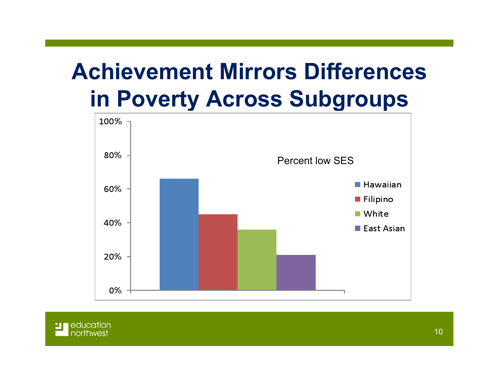### **Achievement Mirrors Differences in Poverty Across Subgroups**



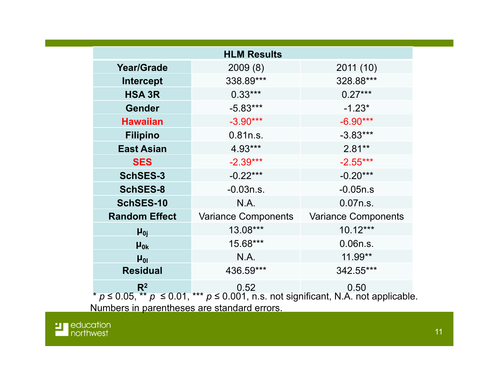| <b>HLM Results</b>                                                                                                         |                            |                            |  |  |  |
|----------------------------------------------------------------------------------------------------------------------------|----------------------------|----------------------------|--|--|--|
| <b>Year/Grade</b>                                                                                                          | 2009(8)                    | 2011 (10)                  |  |  |  |
| <b>Intercept</b>                                                                                                           | 338.89***                  | 328.88***                  |  |  |  |
| <b>HSA 3R</b>                                                                                                              | $0.33***$                  | $0.27***$                  |  |  |  |
| <b>Gender</b>                                                                                                              | $-5.83***$                 | $-1.23*$                   |  |  |  |
| <b>Hawaiian</b>                                                                                                            | $-3.90***$                 | $-6.90***$                 |  |  |  |
| <b>Filipino</b>                                                                                                            | 0.81n.s.                   | $-3.83***$                 |  |  |  |
| <b>East Asian</b>                                                                                                          | 4.93***                    | $2.81**$                   |  |  |  |
| <b>SES</b>                                                                                                                 | $-2.39***$                 | $-2.55***$                 |  |  |  |
| <b>SchSES-3</b>                                                                                                            | $-0.22***$                 | $-0.20***$                 |  |  |  |
| <b>SchSES-8</b>                                                                                                            | $-0.03n.s.$                | $-0.05n.s$                 |  |  |  |
| SchSES-10                                                                                                                  | N.A.                       | 0.07n.s.                   |  |  |  |
| <b>Random Effect</b>                                                                                                       | <b>Variance Components</b> | <b>Variance Components</b> |  |  |  |
| $\mu_{0j}$                                                                                                                 | 13.08***                   | $10.12***$                 |  |  |  |
| $\mu_{0k}$                                                                                                                 | 15.68***                   | 0.06n.s.                   |  |  |  |
| $\mu_{01}$                                                                                                                 | N.A.                       | 11.99**                    |  |  |  |
| <b>Residual</b>                                                                                                            | 436.59***                  | 342.55***                  |  |  |  |
| $R^2$<br>0.52<br>0.50<br>* $p \le 0.05$ , ** $p \le 0.01$ , *** $p \le 0.001$ , n.s. not significant, N.A. not applicable. |                            |                            |  |  |  |
| Numbers in parentheses are standard errors.                                                                                |                            |                            |  |  |  |

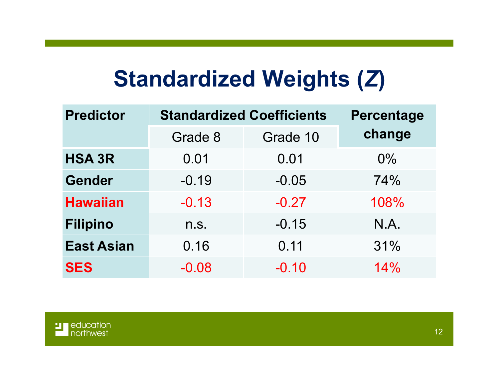#### **Standardized Weights (***Z***)**

| <b>Predictor</b>  | <b>Standardized Coefficients</b> | <b>Percentage</b> |        |  |
|-------------------|----------------------------------|-------------------|--------|--|
|                   | Grade 8                          | Grade 10          | change |  |
| <b>HSA 3R</b>     | 0.01                             | 0.01              | 0%     |  |
| <b>Gender</b>     | $-0.19$                          | $-0.05$           | 74%    |  |
| <b>Hawaiian</b>   | $-0.13$                          | $-0.27$           | 108%   |  |
| <b>Filipino</b>   | n.S.                             | $-0.15$           | N.A.   |  |
| <b>East Asian</b> | 0.16                             | 0.11              | 31%    |  |
| <b>SES</b>        | $-0.08$                          | $-0.10$           | 14%    |  |

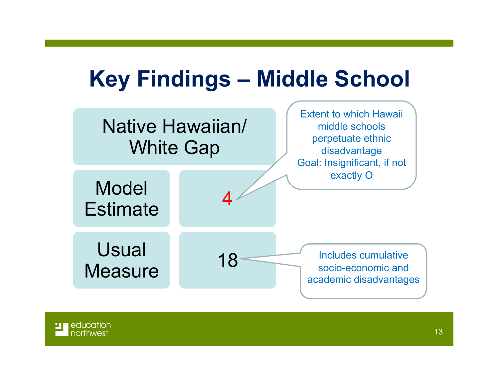### **Key Findings – Middle School**



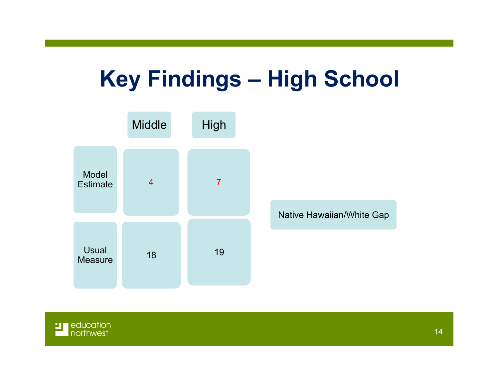#### **Key Findings – High School**



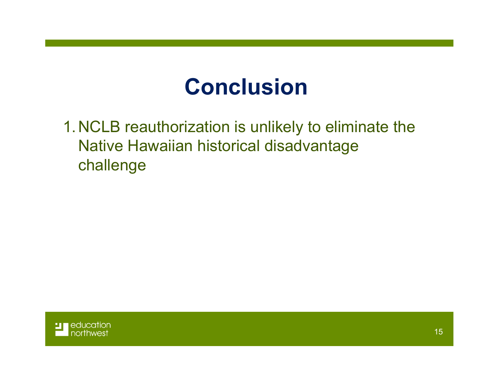### **Conclusion**

1.NCLB reauthorization is unlikely to eliminate the Native Hawaiian historical disadvantage challenge

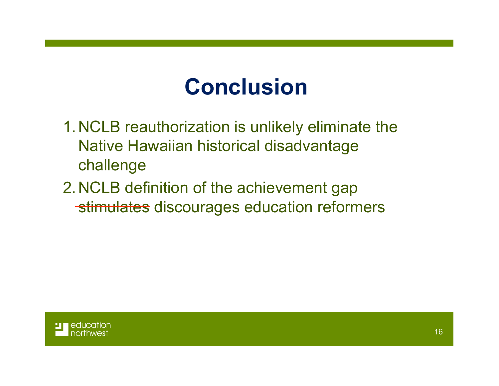### **Conclusion**

- 1.NCLB reauthorization is unlikely eliminate the Native Hawaiian historical disadvantage challenge
- 2.NCLB definition of the achievement gap stimulates discourages education reformers

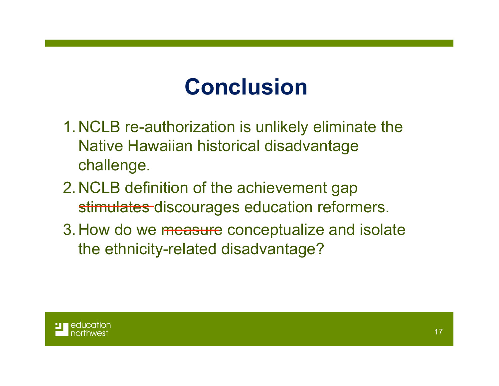## **Conclusion**

- 1.NCLB re-authorization is unlikely eliminate the Native Hawaiian historical disadvantage challenge.
- 2.NCLB definition of the achievement gap stimulates discourages education reformers.
- 3. How do we measure conceptualize and isolate the ethnicity-related disadvantage?

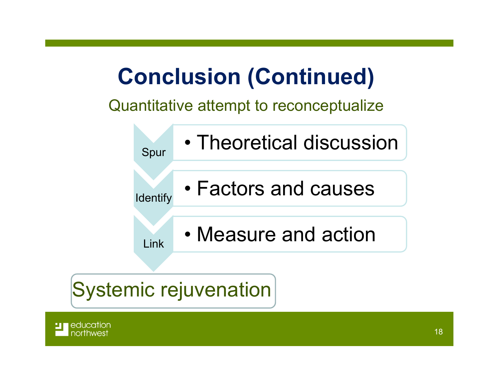## **Conclusion (Continued)**

Quantitative attempt to reconceptualize



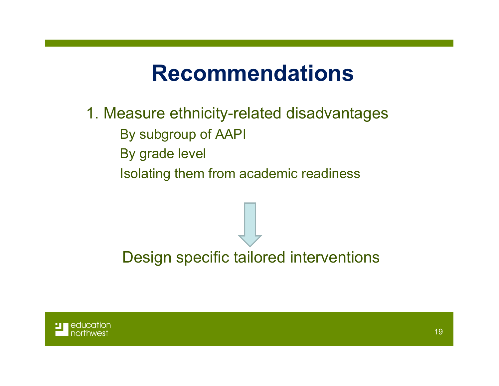#### **Recommendations**

- 1. Measure ethnicity-related disadvantages
	- By subgroup of AAPI
	- By grade level
	- Isolating them from academic readiness

Design specific tailored interventions

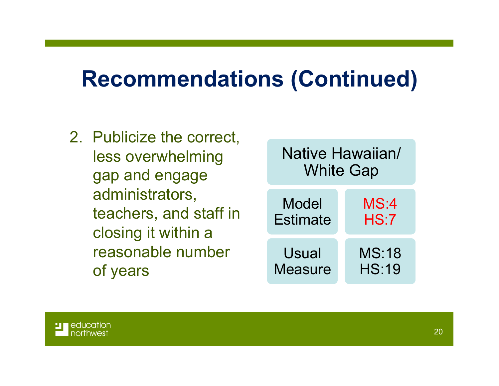#### **Recommendations (Continued)**

2. Publicize the correct, less overwhelming gap and engage administrators, teachers, and staff in closing it within a reasonable number of years